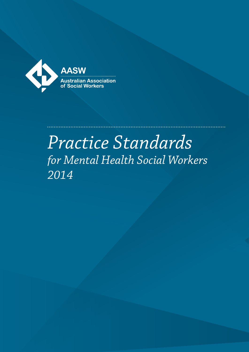

# *Practice Standards for Mental Health Social Workers 2014*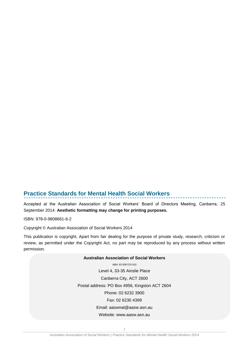## **Practice Standards for Mental Health Social Workers**

Accepted at the Australian Association of Social Workers' Board of Directors Meeting, Canberra, 25 September 2014. **Aesthetic formatting may change for printing purposes.**

ISBN: 978-0-9808661-6-2

Copyright © Australian Association of Social Workers 2014

This publication is copyright, Apart from fair dealing for the purpose of private study, research, criticism or review, as permitted under the Copyright Act, no part may be reproduced by any process without written permission.

#### **Australian Association of Social Workers**

ABN: 93 008 576 010 Level 4, 33-35 Ainslie Place Canberra City, ACT 2600 Postal address: PO Box 4956, Kingston ACT 2604 Phone: 02 6232 3900 Fax: 02 6230 4399 Email: aaswnat@aasw.asn.au

Website: www.aasw.asn.au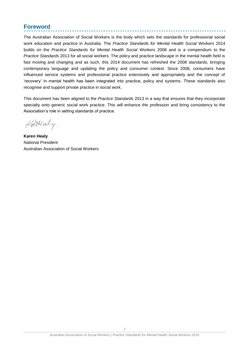## <span id="page-2-0"></span>**Foreword**

The Australian Association of Social Workers is the body which sets the standards for professional social work education and practice in Australia. The *Practice Standards for Mental Health Social Workers* 2014 builds on the *Practice Standards for Mental Health Social Workers* 2008 and is a compendium to the *Practice Standards* 2013 for all social workers. The policy and practice landscape in the mental health field is fast moving and changing and as such, this 2014 document has refreshed the 2008 standards, bringing contemporary language and updating the policy and consumer context. Since 2008, consumers have influenced service systems and professional practice extensively and appropriately and the concept of 'recovery' in mental health has been integrated into practice, policy and systems. These standards also recognise and support private practice in social work.

This document has been aligned to the *Practice Standards* 2013 in a way that ensures that they incorporate specialty onto generic social work practice. This will enhance the profession and bring consistency to the Association's role in setting standards of practice.

Kettealy.

**Karen Healy**  National President Australian Association of Social Workers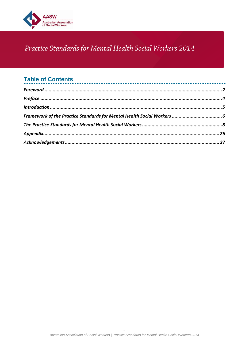

# Practice Standards for Mental Health Social Workers 2014

## **Table of Contents**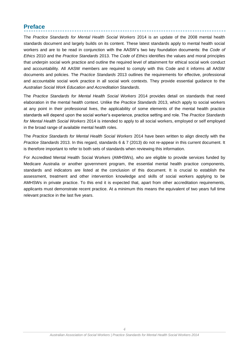## <span id="page-4-0"></span>**Preface**

The *Practice Standards for Mental Health Social Workers* 2014 is an update of the 2008 mental health standards document and largely builds on its content. These latest standards apply to mental health social workers and are to be read in conjunction with the AASW's two key foundation documents: the *Code of Ethics* 2010 and the *Practice Standards* 2013. The *Code of Ethics* identifies the values and moral principles that underpin social work practice and outline the required level of attainment for ethical social work conduct and accountability. All AASW members are required to comply with this Code and it informs all AASW documents and policies. The *Practice Standards* 2013 outlines the requirements for effective, professional and accountable social work practice in all social work contexts. They provide essential guidance to the *[Australian Social Work Education](http://www.aasw.asn.au/document/item/3550) and [Accreditation Standards](http://www.aasw.asn.au/document/item/3550)*.

The *Practice Standards for Mental Health Social Workers* 2014 provides detail on standards that need elaboration in the mental health context. Unlike the *Practice Standards* 2013, which apply to social workers at any point in their professional lives, the applicability of some elements of the mental health practice standards will depend upon the social worker's experience, practice setting and role. The *Practice Standards for Mental Health Social Workers* 2014 is intended to apply to all social workers, employed or self employed in the broad range of available mental health roles.

The *Practice Standards for Mental Health Social Workers* 2014 have been written to align directly with the *Practice Standards* 2013. In this regard, standards 6 & 7 (2013) do not re-appear in this current document. It is therefore important to refer to both sets of standards when reviewing this information.

For Accredited Mental Health Social Workers (AMHSWs), who are eligible to provide services funded by Medicare Australia or another government program, the essential mental health practice components, standards and indicators are listed at the conclusion of this document. It is crucial to establish the assessment, treatment and other intervention knowledge and skills of social workers applying to be AMHSWs in private practice. To this end it is expected that, apart from other accreditation requirements, applicants must demonstrate recent practice. At a minimum this means the equivalent of two years full time relevant practice in the last five years.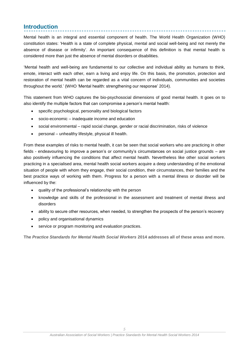## <span id="page-5-0"></span>**Introduction**

Mental health is an integral and essential component of health. The World Health Organization (WHO) constitution states: 'Health is a state of complete physical, mental and social well-being and not merely the absence of disease or infirmity'. An important consequence of this definition is that mental health is considered more than just the absence of mental disorders or disabilities.

'Mental health and well-being are fundamental to our collective and individual ability as humans to think, emote, interact with each other, earn a living and enjoy life. On this basis, the promotion, protection and restoration of mental health can be regarded as a vital concern of individuals, communities and societies throughout the world.' (WHO 'Mental health: strengthening our response' 2014).

This statement from WHO captures the bio-psychosocial dimensions of good mental health. It goes on to also identify the multiple factors that can compromise a person's mental health:

- specific psychological, personality and biological factors
- socio-economic inadequate income and education
- social environmental rapid social change, gender or racial discrimination, risks of violence
- personal unhealthy lifestyle, physical ill health.

From these examples of risks to mental health, it can be seen that social workers who are practicing in other fields - endeavouring to improve a person's or community's circumstances on social justice grounds – are also positively influencing the conditions that affect mental health. Nevertheless like other social workers practicing in a specialised area, mental health social workers acquire a deep understanding of the emotional situation of people with whom they engage, their social condition, their circumstances, their families and the best practice ways of working with them. Progress for a person with a mental illness or disorder will be influenced by the:

- quality of the professional's relationship with the person
- knowledge and skills of the professional in the assessment and treatment of mental illness and disorders
- ability to secure other resources, when needed, to strengthen the prospects of the person's recovery
- policy and organisational dynamics
- service or program monitoring and evaluation practices.

**The** *Practice Standards for Mental Health Social Workers* **2014 addresses all of these areas and more.**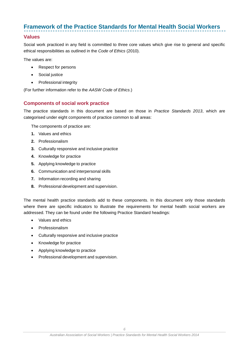## <span id="page-6-0"></span>**Framework of the Practice Standards for Mental Health Social Workers**

### **Values**

Social work practiced in any field is committed to three core values which give rise to general and specific ethical responsibilities as outlined in the *[Code of](http://www.aasw.asn.au/document/item/740) Ethics* [\(2010\).](http://www.aasw.asn.au/document/item/740)

The values are:

- Respect for persons
- Social justice
- Professional integrity

(For further information refer to the *AASW Code of Ethics*.)

#### **Components of social work practice**

The practice standards in this document are based on those in *Practice Standards 2013*, which are categorised under eight components of practice common to all areas:

The components of practice are:

- **1.** Values and ethics
- **2.** Professionalism
- **3.** Culturally responsive and inclusive practice
- **4.** Knowledge for practice
- **5.** Applying knowledge to practice
- **6.** Communication and interpersonal skills
- **7.** Information recording and sharing
- **8.** Professional development and supervision.

The mental health practice standards add to these components. In this document only those standards where there are specific indicators to illustrate the requirements for mental health social workers are addressed. They can be found under the following Practice Standard headings:

- Values and ethics
- Professionalism
- Culturally responsive and inclusive practice
- Knowledge for practice
- Applying knowledge to practice
- Professional development and supervision.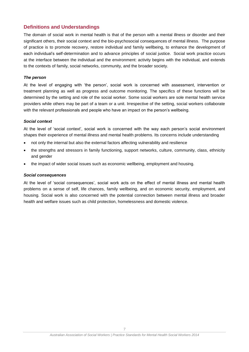## **Definitions and Understandings**

The domain of social work in mental health is that of the person with a mental illness or disorder and their significant others, their social context and the bio-psychosocial consequences of mental illness. The purpose of practice is to promote recovery, restore individual and family wellbeing, to enhance the development of each individual's self-determination and to advance principles of social justice. Social work practice occurs at the interface between the individual and the environment: activity begins with the individual, and extends to the contexts of family, social networks, community, and the broader society.

#### *The person*

At the level of engaging with 'the person', social work is concerned with assessment, intervention or treatment planning as well as progress and outcome monitoring. The specifics of these functions will be determined by the setting and role of the social worker. Some social workers are sole mental health service providers while others may be part of a team or a unit. Irrespective of the setting, social workers collaborate with the relevant professionals and people who have an impact on the person's wellbeing.

#### *Social context*

At the level of 'social context', social work is concerned with the way each person's social environment shapes their experience of mental illness and mental health problems. Its concerns include understanding

- not only the internal but also the external factors affecting vulnerability and resilience
- the strengths and stressors in family functioning, support networks, culture, community, class, ethnicity and gender
- the impact of wider social issues such as economic wellbeing, employment and housing.

#### *Social consequences*

At the level of 'social consequences', social work acts on the effect of mental illness and mental health problems on a sense of self, life chances, family wellbeing, and on economic security, employment, and housing. Social work is also concerned with the potential connection between mental illness and broader health and welfare issues such as child protection, homelessness and domestic violence.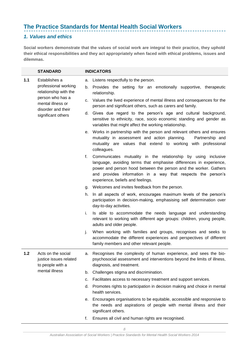## <span id="page-8-0"></span>**The Practice Standards for Mental Health Social Workers**

## *1. Values and ethics*

**Social workers demonstrate that the values of social work are integral to their practice, they uphold their ethical responsibilities and they act appropriately when faced with ethical problems, issues and dilemmas.**

 $\sim$ 

|       | <b>STANDARD</b>                                                  |                                                   | <b>INDICATORS</b>                                                                                                                                                                                                                                                                                            |
|-------|------------------------------------------------------------------|---------------------------------------------------|--------------------------------------------------------------------------------------------------------------------------------------------------------------------------------------------------------------------------------------------------------------------------------------------------------------|
| 1.1   | Establishes a<br>professional working<br>relationship with the   | а.<br>b.                                          | Listens respectfully to the person.<br>Provides the setting for an emotionally supportive, therapeutic<br>relationship.                                                                                                                                                                                      |
|       | person who has a<br>mental illness or<br>disorder and their      | c.                                                | Values the lived experience of mental illness and consequences for the<br>person and significant others, such as carers and family.                                                                                                                                                                          |
|       | significant others                                               |                                                   | d. Gives due regard to the person's age and cultural background,<br>sensitive to ethnicity, race, socio economic standing and gender as<br>variables that might affect the working relationship.                                                                                                             |
|       |                                                                  |                                                   | e. Works in partnership with the person and relevant others and ensures<br>mutuality in assessment and action planning.<br>Partnership and<br>mutuality are values that extend to working with professional<br>colleagues.                                                                                   |
|       |                                                                  | f.                                                | Communicates mutuality in the relationship by using inclusive<br>language, avoiding terms that emphasise differences in experience,<br>power and person hood between the person and the worker. Gathers<br>and provides information in a way that respects the person's<br>experience, beliefs and feelings. |
|       |                                                                  | g. Welcomes and invites feedback from the person. |                                                                                                                                                                                                                                                                                                              |
|       |                                                                  | h.                                                | In all aspects of work, encourages maximum levels of the person's<br>participation in decision-making, emphasising self determination over<br>day-to-day activities.                                                                                                                                         |
|       |                                                                  | i.                                                | Is able to accommodate the needs language and understanding<br>relevant to working with different age groups: children, young people,<br>adults and older people.                                                                                                                                            |
|       |                                                                  | j.                                                | When working with families and groups, recognises and seeks to<br>accommodate the different experiences and perspectives of different<br>family members and other relevant people.                                                                                                                           |
| $1.2$ | Acts on the social<br>justice issues related<br>to people with a |                                                   | a. Recognises the complexity of human experience, and sees the bio-<br>psychosocial assessment and interventions beyond the limits of illness,<br>diagnosis, and treatment.                                                                                                                                  |
|       | mental illness                                                   | b.                                                | Challenges stigma and discrimination.                                                                                                                                                                                                                                                                        |
|       |                                                                  | c.                                                | Facilitates access to necessary treatment and support services.                                                                                                                                                                                                                                              |
|       |                                                                  | d.                                                | Promotes rights to participation in decision making and choice in mental<br>health services.                                                                                                                                                                                                                 |
|       |                                                                  | е.                                                | Encourages organisations to be equitable, accessible and responsive to<br>the needs and aspirations of people with mental illness and their<br>significant others.                                                                                                                                           |
|       |                                                                  | f.                                                | Ensures all civil and human rights are recognised.                                                                                                                                                                                                                                                           |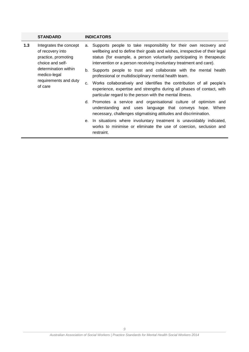|                                                                          | <b>STANDARD</b>                                                                       |                                                                                                                             | <b>INDICATORS</b>                                                                                                                                                                                                                                                                                 |
|--------------------------------------------------------------------------|---------------------------------------------------------------------------------------|-----------------------------------------------------------------------------------------------------------------------------|---------------------------------------------------------------------------------------------------------------------------------------------------------------------------------------------------------------------------------------------------------------------------------------------------|
| 1.3                                                                      | Integrates the concept<br>of recovery into<br>practice, promoting<br>choice and self- | а.                                                                                                                          | Supports people to take responsibility for their own recovery and<br>wellbeing and to define their goals and wishes, irrespective of their legal<br>status (for example, a person voluntarily participating in therapeutic<br>intervention or a person receiving involuntary treatment and care). |
| determination within<br>medico-legal<br>requirements and duty<br>of care |                                                                                       | b. Supports people to trust and collaborate with the mental health<br>professional or multidisciplinary mental health team. |                                                                                                                                                                                                                                                                                                   |
|                                                                          |                                                                                       | C.                                                                                                                          | Works collaboratively and identifies the contribution of all people's<br>experience, expertise and strengths during all phases of contact, with<br>particular regard to the person with the mental illness.                                                                                       |
|                                                                          |                                                                                       |                                                                                                                             | d. Promotes a service and organisational culture of optimism and<br>understanding and uses language that conveys hope. Where<br>necessary, challenges stigmatising attitudes and discrimination.                                                                                                  |
|                                                                          |                                                                                       |                                                                                                                             | e. In situations where involuntary treatment is unavoidably indicated,<br>works to minimise or eliminate the use of coercion, seclusion and<br>restraint.                                                                                                                                         |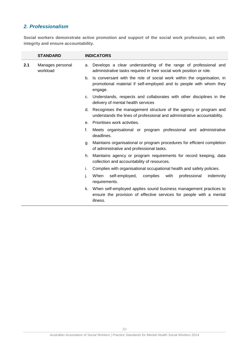## *2. Professionalism*

**Social workers demonstrate active promotion and support of the social work profession, act with integrity and ensure accountability.**

|     | <b>STANDARD</b>              |    | <b>INDICATORS</b>                                                                                                                                       |
|-----|------------------------------|----|---------------------------------------------------------------------------------------------------------------------------------------------------------|
| 2.1 | Manages personal<br>workload | a. | Develops a clear understanding of the range of professional and<br>administrative tasks required in their social work position or role.                 |
|     |                              | b. | Is conversant with the role of social work within the organisation, in<br>promotional material if self-employed and to people with whom they<br>engage. |
|     |                              | C. | Understands, respects and collaborates with other disciplines in the<br>delivery of mental health services                                              |
|     |                              | d. | Recognises the management structure of the agency or program and<br>understands the lines of professional and administrative accountability.            |
|     |                              | е. | Prioritises work activities.                                                                                                                            |
|     |                              | f. | Meets organisational or program professional and administrative<br>deadlines.                                                                           |
|     |                              | q. | Maintains organisational or program procedures for efficient completion<br>of administrative and professional tasks.                                    |
|     |                              | h. | Maintains agency or program requirements for record keeping, data<br>collection and accountability of resources.                                        |
|     |                              | i. | Complies with organisational occupational health and safety policies.                                                                                   |
|     |                              | j. | When<br>self-employed,<br>complies<br>professional<br>indemnity<br>with<br>requirements.                                                                |
|     |                              | k. | When self-employed applies sound business management practices to<br>ensure the provision of effective services for people with a mental<br>illness.    |
|     |                              |    |                                                                                                                                                         |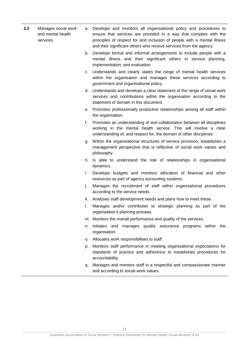- **2.2** Manages social work and mental health services a. Develops and monitors all organisational policy and procedures to ensure that services are provided in a way that complies with the principles of respect for and inclusion of people with a mental illness and their significant others who receive services from the agency.
	- b. Develops formal and informal arrangements to include people with a mental illness and their significant others in service planning, implementation, and evaluation.
	- c. Understands and clearly states the range of mental health services within the organisation and manages these services according to government and organisational policy.
	- d. Understands and develops a clear statement of the range of social work services and contributions within the organisation according to the statement of domain in this document.
	- e. Promotes professionally productive relationships among all staff within the organisation.
	- f. Promotes an understanding of and collaboration between all disciplines working in the mental health service. This will involve a clear understanding of, and respect for, the domain of other disciplines.
	- g. Within the organisational structures of service provision, establishes a management perspective that is reflective of social work values and philosophy.
	- h. Is able to understand the role of relationships in organisational dynamics.
	- i. Develops budgets and monitors allocation of financial and other resources as part of agency accounting systems.
	- j. Manages the recruitment of staff within organisational procedures according to the service needs.
	- k. Analyses staff development needs and plans how to meet these.
	- l. Manages and/or contributes to strategic planning as part of the organisation's planning process.
	- m. Monitors the overall performance and quality of the services.
	- n. Initiates and manages quality assurance programs within the organisation.
	- o. Allocates work responsibilities to staff.
	- p. Monitors staff performance in meeting organisational expectations for standards of practice and adherence to established procedures for accountability.
	- q. Manages and mentors staff in a respectful and compassionate manner and according to social work values.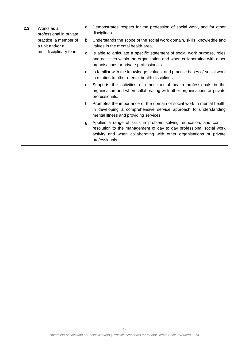- **2.3** Works as a professional in private practice, a member of a unit and/or a multidisciplinary team
- a. Demonstrates respect for the profession of social work, and for other disciplines.
- b. Understands the scope of the social work domain, skills, knowledge and values in the mental health area.
- c. Is able to articulate a specific statement of social work purpose, roles and activities within the organisation and when collaborating with other organisations or private professionals.
- d. Is familiar with the knowledge, values, and practice bases of social work in relation to other mental health disciplines.
- e. Supports the activities of other mental health professionals in the organisation and when collaborating with other organisations or private professionals.
- f. Promotes the importance of the domain of social work in mental health in developing a comprehensive service approach to understanding mental illness and providing services.
- g. Applies a range of skills in problem solving, education, and conflict resolution to the management of day to day professional social work activity and when collaborating with other organisations or private professionals.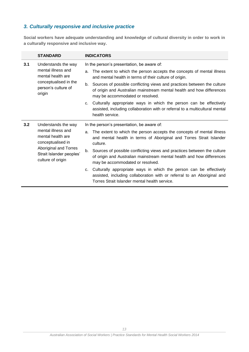## *3. Culturally responsive and inclusive practice*

**Social workers have adequate understanding and knowledge of cultural diversity in order to work in a culturally responsive and inclusive way.**

|                                                                        | <b>STANDARD</b>                                                                                                                                                                            | <b>INDICATORS</b>                                                                                                                                                                                    |
|------------------------------------------------------------------------|--------------------------------------------------------------------------------------------------------------------------------------------------------------------------------------------|------------------------------------------------------------------------------------------------------------------------------------------------------------------------------------------------------|
| 3.1                                                                    | Understands the way                                                                                                                                                                        | In the person's presentation, be aware of:                                                                                                                                                           |
|                                                                        | mental illness and<br>mental health are                                                                                                                                                    | The extent to which the person accepts the concepts of mental illness<br>a.<br>and mental health in terms of their culture of origin.                                                                |
| conceptualised in the<br>person's culture of<br>origin                 | Sources of possible conflicting views and practices between the culture<br>b.<br>of origin and Australian mainstream mental health and how differences<br>may be accommodated or resolved. |                                                                                                                                                                                                      |
|                                                                        |                                                                                                                                                                                            | c. Culturally appropriate ways in which the person can be effectively<br>assisted, including collaboration with or referral to a multicultural mental<br>health service.                             |
| 3.2                                                                    | Understands the way<br>mental illness and<br>mental health are<br>conceptualised in                                                                                                        | In the person's presentation, be aware of:                                                                                                                                                           |
|                                                                        |                                                                                                                                                                                            | The extent to which the person accepts the concepts of mental illness<br>a.<br>and mental health in terms of Aboriginal and Torres Strait Islander<br>culture.                                       |
| Aboriginal and Torres<br>Strait Islander peoples'<br>culture of origin | Sources of possible conflicting views and practices between the culture<br>b.<br>of origin and Australian mainstream mental health and how differences<br>may be accommodated or resolved. |                                                                                                                                                                                                      |
|                                                                        |                                                                                                                                                                                            | Culturally appropriate ways in which the person can be effectively<br>c.<br>assisted, including collaboration with or referral to an Aboriginal and<br>Torres Strait Islander mental health service. |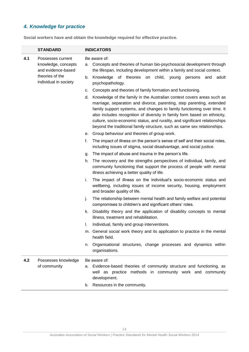## *4. Knowledge for practice*

**Social workers have and obtain the knowledge required for effective practice.**

|     | <b>STANDARD</b>                                                                   | <b>INDICATORS</b>                                                                                                                                                                                                                                                                                                                                                                                                                                                        |  |  |
|-----|-----------------------------------------------------------------------------------|--------------------------------------------------------------------------------------------------------------------------------------------------------------------------------------------------------------------------------------------------------------------------------------------------------------------------------------------------------------------------------------------------------------------------------------------------------------------------|--|--|
| 4.1 | Possesses current<br>knowledge, concepts<br>and evidence-based<br>theories of the | Be aware of:<br>Concepts and theories of human bio-psychosocial development through<br>а.<br>the lifespan, including development within a family and social context.<br>Knowledge of theories<br>on child,<br>adult<br>b.<br>young<br>persons<br>and                                                                                                                                                                                                                     |  |  |
|     | individual in society                                                             | psychopathology.                                                                                                                                                                                                                                                                                                                                                                                                                                                         |  |  |
|     |                                                                                   | c. Concepts and theories of family formation and functioning.                                                                                                                                                                                                                                                                                                                                                                                                            |  |  |
|     |                                                                                   | Knowledge of the family in the Australian context covers areas such as<br>d.<br>marriage, separation and divorce, parenting, step parenting, extended<br>family support systems, and changes to family functioning over time. It<br>also includes recognition of diversity in family form based on ethnicity,<br>culture, socio-economic status, and rurality, and significant relationships<br>beyond the traditional family structure, such as same sex relationships. |  |  |
|     |                                                                                   | e. Group behaviour and theories of group work.                                                                                                                                                                                                                                                                                                                                                                                                                           |  |  |
|     |                                                                                   | f.<br>The impact of illness on the person's sense of self and their social roles,<br>including issues of stigma, social disadvantage, and social justice.                                                                                                                                                                                                                                                                                                                |  |  |
|     |                                                                                   | The impact of abuse and trauma in the person's life.<br>g.                                                                                                                                                                                                                                                                                                                                                                                                               |  |  |
|     |                                                                                   | The recovery and the strengths perspectives of individual, family, and<br>h.<br>community functioning that support the process of people with mental<br>illness achieving a better quality of life.                                                                                                                                                                                                                                                                      |  |  |
|     |                                                                                   | The impact of illness on the individual's socio-economic status and<br>i.<br>wellbeing, including issues of income security, housing, employment<br>and broader quality of life.                                                                                                                                                                                                                                                                                         |  |  |
|     |                                                                                   | The relationship between mental health and family welfare and potential<br>j.<br>compromises to children's and significant others' roles.                                                                                                                                                                                                                                                                                                                                |  |  |
|     |                                                                                   | Disability theory and the application of disability concepts to mental<br>k.<br>illness, treatment and rehabilitation.                                                                                                                                                                                                                                                                                                                                                   |  |  |
|     |                                                                                   | Individual, family and group interventions.<br>ı.                                                                                                                                                                                                                                                                                                                                                                                                                        |  |  |
|     |                                                                                   | m. General social work theory and its application to practice in the mental<br>health field.                                                                                                                                                                                                                                                                                                                                                                             |  |  |
|     |                                                                                   | Organisational structures, change processes and dynamics within<br>n.<br>organisations.                                                                                                                                                                                                                                                                                                                                                                                  |  |  |
| 4.2 | Possesses knowledge<br>of community                                               | Be aware of:<br>Evidence-based theories of community structure and functioning, as<br>а.<br>well as practice methods in community work and community<br>development.                                                                                                                                                                                                                                                                                                     |  |  |
|     |                                                                                   | b. Resources in the community.                                                                                                                                                                                                                                                                                                                                                                                                                                           |  |  |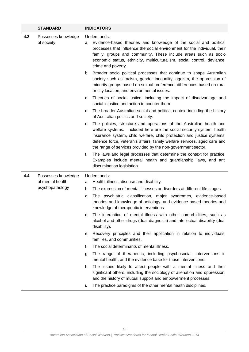|     | <b>STANDARD</b>                     |          | <b>INDICATORS</b>                                                                                                                                                                                                                                                                                                                                                  |
|-----|-------------------------------------|----------|--------------------------------------------------------------------------------------------------------------------------------------------------------------------------------------------------------------------------------------------------------------------------------------------------------------------------------------------------------------------|
| 4.3 | Possesses knowledge<br>of society   |          | Understands:<br>a. Evidence-based theories and knowledge of the social and political<br>processes that influence the social environment for the individual, their<br>family, groups and community. These include areas such as socio<br>economic status, ethnicity, multiculturalism, social control, deviance,<br>crime and poverty.                              |
|     |                                     |          | b. Broader socio political processes that continue to shape Australian<br>society such as racism, gender inequality, ageism, the oppression of<br>minority groups based on sexual preference, differences based on rural<br>or city location, and environmental issues.                                                                                            |
|     |                                     | c.       | Theories of social justice, including the impact of disadvantage and<br>social injustice and action to counter them.                                                                                                                                                                                                                                               |
|     |                                     | d.       | The broader Australian social and political context including the history<br>of Australian politics and society.                                                                                                                                                                                                                                                   |
|     |                                     | е.       | The policies, structure and operations of the Australian health and<br>welfare systems. Included here are the social security system, health<br>insurance system, child welfare, child protection and justice systems,<br>defence force, veteran's affairs, family welfare services, aged care and<br>the range of services provided by the non-government sector. |
|     |                                     | f.       | The laws and legal processes that determine the context for practice.<br>Examples include mental health and guardianship laws, and anti<br>discrimination legislation.                                                                                                                                                                                             |
| 4.4 | Possesses knowledge                 |          | Understands:                                                                                                                                                                                                                                                                                                                                                       |
|     | of mental health<br>psychopathology | а.       | Health, illness, disease and disability.                                                                                                                                                                                                                                                                                                                           |
|     |                                     | b.<br>c. | The expression of mental illnesses or disorders at different life stages.<br>The psychiatric classification, major syndromes, evidence-based<br>theories and knowledge of aetiology, and evidence-based theories and<br>knowledge of therapeutic interventions.                                                                                                    |
|     |                                     | d.       | The interaction of mental illness with other comorbidities, such as<br>alcohol and other drugs (dual diagnosis) and intellectual disability (dual<br>disability).                                                                                                                                                                                                  |
|     |                                     | е.       | Recovery principles and their application in relation to individuals,<br>families, and communities.                                                                                                                                                                                                                                                                |
|     |                                     | f.       | The social determinants of mental illness.                                                                                                                                                                                                                                                                                                                         |
|     |                                     | g.       | The range of therapeutic, including psychosocial, interventions in<br>mental health, and the evidence base for those interventions.                                                                                                                                                                                                                                |
|     |                                     | h.       | The issues likely to affect people with a mental illness and their<br>significant others, including the sociology of alienation and oppression,<br>and the history of mutual support and empowerment processes.                                                                                                                                                    |
|     |                                     | i.       | The practice paradigms of the other mental health disciplines.                                                                                                                                                                                                                                                                                                     |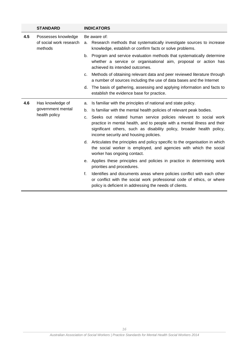|     | <b>STANDARD</b>                                           | <b>INDICATORS</b>                                                                                                                                                                                                                                                                                                                                                                                                                                                                                                                                                                                                                                                                                                                                                                                                                                                                                                                              |
|-----|-----------------------------------------------------------|------------------------------------------------------------------------------------------------------------------------------------------------------------------------------------------------------------------------------------------------------------------------------------------------------------------------------------------------------------------------------------------------------------------------------------------------------------------------------------------------------------------------------------------------------------------------------------------------------------------------------------------------------------------------------------------------------------------------------------------------------------------------------------------------------------------------------------------------------------------------------------------------------------------------------------------------|
| 4.5 | Possesses knowledge<br>of social work research<br>methods | Be aware of:<br>Research methods that systematically investigate sources to increase<br>a.<br>knowledge, establish or confirm facts or solve problems.<br>b. Program and service evaluation methods that systematically determine<br>whether a service or organisational aim, proposal or action has<br>achieved its intended outcomes.<br>Methods of obtaining relevant data and peer reviewed literature through<br>c.<br>a number of sources including the use of data bases and the Internet<br>The basis of gathering, assessing and applying information and facts to<br>d.<br>establish the evidence base for practice.                                                                                                                                                                                                                                                                                                                 |
| 4.6 | Has knowledge of<br>government mental<br>health policy    | Is familiar with the principles of national and state policy.<br>a.<br>Is familiar with the mental health policies of relevant peak bodies.<br>b.<br>Seeks out related human service policies relevant to social work<br>c.<br>practice in mental health, and to people with a mental illness and their<br>significant others, such as disability policy, broader health policy,<br>income security and housing policies.<br>d. Articulates the principles and policy specific to the organisation in which<br>the social worker is employed, and agencies with which the social<br>worker has ongoing contact.<br>e. Applies these principles and policies in practice in determining work<br>priorities and procedures.<br>Identifies and documents areas where policies conflict with each other<br>f.<br>or conflict with the social work professional code of ethics, or where<br>policy is deficient in addressing the needs of clients. |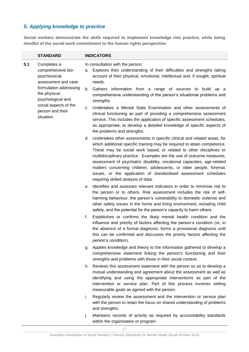## *5. Applying knowledge to practice*

**Social workers demonstrate the skills required to implement knowledge into practice, while being mindful of the social work commitment to the human rights perspective.** 

|                               | <b>STANDARD</b>                                                          |    | <b>INDICATORS</b>                                                                                                                                                                                                                                                                                                                                                                                                                                                                                                                                                   |
|-------------------------------|--------------------------------------------------------------------------|----|---------------------------------------------------------------------------------------------------------------------------------------------------------------------------------------------------------------------------------------------------------------------------------------------------------------------------------------------------------------------------------------------------------------------------------------------------------------------------------------------------------------------------------------------------------------------|
| 5.1                           | Completes a<br>comprehensive bio-<br>psychosocial<br>assessment and case | а. | In consultation with the person:<br>Explores their understanding of their difficulties and strengths taking<br>account of their physical, emotional, intellectual and, if sought, spiritual<br>needs.                                                                                                                                                                                                                                                                                                                                                               |
|                               | formulation addressing<br>the physical,<br>psychological and             | b. | Gathers information from a range of sources to build up a<br>comprehensive understanding of the person's situational problems and<br>strengths.                                                                                                                                                                                                                                                                                                                                                                                                                     |
| person and their<br>situation | social aspects of the                                                    | c. | Undertakes a Mental State Examination and other assessments of<br>clinical functioning as part of providing a comprehensive assessment<br>service. This includes the application of specific assessment schedules,<br>as appropriate, to develop a detailed knowledge of specific aspects of<br>the problems and strengths.                                                                                                                                                                                                                                         |
|                               |                                                                          |    | d. Undertakes other assessments in specific clinical and related areas, for<br>which additional specific training may be required to attain competence.<br>These may be social work based, or related to other disciplines or<br>multidisciplinary practice. Examples are the use of outcome measures,<br>assessment of psychiatric disability, vocational capacities, age-related<br>matters concerning children, adolescents, or older people, forensic<br>issues, or the application of standardised assessment schedules<br>requiring skilled analysis of data. |
|                               |                                                                          | е. | Identifies and assesses relevant indicators in order to minimise risk to<br>the person or to others. Risk assessment includes the risk of self-<br>harming behaviour, the person's vulnerability to domestic violence and<br>other safety issues in the home and living environment, including child<br>safety, and the potential for the person's capacity to harm others.                                                                                                                                                                                         |
|                               |                                                                          | f. | Establishes or confirms the likely mental health condition and the<br>influence and priority of factors affecting the person's condition (or, in<br>the absence of a formal diagnosis, forms a provisional diagnosis until<br>this can be confirmed and discusses the priority factors affecting the<br>person's condition).                                                                                                                                                                                                                                        |
|                               |                                                                          |    | g. Applies knowledge and theory to the information gathered to develop a<br>comprehensive statement linking the person's functioning and their<br>strengths and problems with those in their social context.                                                                                                                                                                                                                                                                                                                                                        |
|                               |                                                                          |    | h. Reviews this assessment statement with the person so as to develop a<br>mutual understanding and agreement about the assessment as well as<br>identifying and using the appropriate interventions as part of the<br>intervention or service plan. Part of this process involves setting<br>measurable goals as agreed with the person.                                                                                                                                                                                                                           |
|                               |                                                                          | i. | Regularly review the assessment and the intervention or service plan<br>with the person to retain the focus on shared understanding of problems<br>and strengths.                                                                                                                                                                                                                                                                                                                                                                                                   |
|                               |                                                                          | j. | Maintains records of activity as required by accountability standards<br>within the organisation or program.                                                                                                                                                                                                                                                                                                                                                                                                                                                        |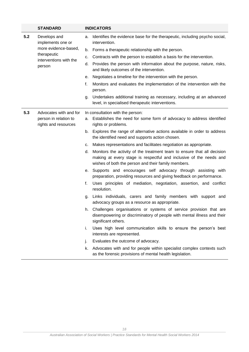|     | <b>STANDARD</b>                               |    | <b>INDICATORS</b>                                                                                                                                                                                    |
|-----|-----------------------------------------------|----|------------------------------------------------------------------------------------------------------------------------------------------------------------------------------------------------------|
| 5.2 | Develops and<br>implements one or             | a. | Identifies the evidence base for the therapeutic, including psycho social,<br>intervention.                                                                                                          |
|     | more evidence-based,                          | b. | Forms a therapeutic relationship with the person.                                                                                                                                                    |
|     | therapeutic<br>interventions with the         | c. | Contracts with the person to establish a basis for the intervention.                                                                                                                                 |
|     | person                                        | d. | Provides the person with information about the purpose, nature, risks,<br>and likely outcomes of the intervention.                                                                                   |
|     |                                               | е. | Negotiates a timeline for the intervention with the person.                                                                                                                                          |
|     |                                               | f. | Monitors and evaluates the implementation of the intervention with the<br>person.                                                                                                                    |
|     |                                               | g. | Undertakes additional training as necessary, including at an advanced<br>level, in specialised therapeutic interventions.                                                                            |
| 5.3 | Advocates with and for                        |    | In consultation with the person:                                                                                                                                                                     |
|     | person in relation to<br>rights and resources | а. | Establishes the need for some form of advocacy to address identified<br>rights or problems.                                                                                                          |
|     |                                               | b. | Explores the range of alternative actions available in order to address<br>the identified need and supports action chosen.                                                                           |
|     |                                               |    | c. Makes representations and facilitates negotiation as appropriate.                                                                                                                                 |
|     |                                               | d. | Monitors the activity of the treatment team to ensure that all decision<br>making at every stage is respectful and inclusive of the needs and<br>wishes of both the person and their family members. |
|     |                                               | е. | Supports and encourages self advocacy through assisting with<br>preparation, providing resources and giving feedback on performance.                                                                 |
|     |                                               | f. | Uses principles of mediation, negotiation, assertion, and conflict<br>resolution.                                                                                                                    |
|     |                                               | g. | Links individuals, carers and family members with support and<br>advocacy groups as a resource as appropriate.                                                                                       |
|     |                                               |    | h. Challenges organisations or systems of service provision that are<br>disempowering or discriminatory of people with mental illness and their<br>significant others.                               |
|     |                                               | i. | Uses high level communication skills to ensure the person's best<br>interests are represented.                                                                                                       |
|     |                                               | j. | Evaluates the outcome of advocacy.                                                                                                                                                                   |
|     |                                               | k. | Advocates with and for people within specialist complex contexts such<br>as the forensic provisions of mental health legislation.                                                                    |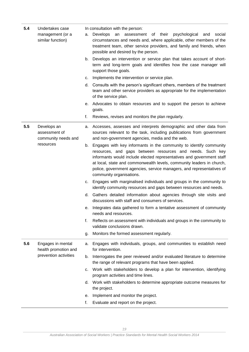| 5.4       | Undertakes case<br>management (or a<br>similar function) | а. | In consultation with the person:<br>Develops<br>an assessment of their psychological<br>and<br>social<br>circumstances and needs and, where applicable, other members of the<br>treatment team, other service providers, and family and friends, when<br>possible and desired by the person.<br>b. Develops an intervention or service plan that takes account of short-<br>term and long-term goals and identifies how the case manager will |
|-----------|----------------------------------------------------------|----|-----------------------------------------------------------------------------------------------------------------------------------------------------------------------------------------------------------------------------------------------------------------------------------------------------------------------------------------------------------------------------------------------------------------------------------------------|
|           |                                                          |    | support those goals.                                                                                                                                                                                                                                                                                                                                                                                                                          |
|           |                                                          | C. | Implements the intervention or service plan.                                                                                                                                                                                                                                                                                                                                                                                                  |
|           |                                                          | d. | Consults with the person's significant others, members of the treatment<br>team and other service providers as appropriate for the implementation<br>of the service plan.                                                                                                                                                                                                                                                                     |
|           |                                                          | е. | Advocates to obtain resources and to support the person to achieve<br>goals.                                                                                                                                                                                                                                                                                                                                                                  |
|           |                                                          | f. | Reviews, revises and monitors the plan regularly.                                                                                                                                                                                                                                                                                                                                                                                             |
| 5.5       | Develops an<br>assessment of<br>community needs and      |    | a. Accesses, assesses and interprets demographic and other data from<br>sources relevant to the task, including publications from government<br>and non-government agencies, media and the web.                                                                                                                                                                                                                                               |
| resources |                                                          | b. | Engages with key informants in the community to identify community<br>resources, and gaps between resources and needs. Such key<br>informants would include elected representatives and government staff<br>at local, state and commonwealth levels, community leaders in church,<br>police, government agencies, service managers, and representatives of<br>community organisations.                                                        |
|           |                                                          | C. | Engages with marginalised individuals and groups in the community to<br>identify community resources and gaps between resources and needs.                                                                                                                                                                                                                                                                                                    |
|           |                                                          | d. | Gathers detailed information about agencies through site visits and<br>discussions with staff and consumers of services.                                                                                                                                                                                                                                                                                                                      |
|           |                                                          |    | e. Integrates data gathered to form a tentative assessment of community<br>needs and resources.                                                                                                                                                                                                                                                                                                                                               |
|           |                                                          | f. | Reflects on assessment with individuals and groups in the community to<br>validate conclusions drawn.                                                                                                                                                                                                                                                                                                                                         |
|           |                                                          | g. | Monitors the formed assessment regularly.                                                                                                                                                                                                                                                                                                                                                                                                     |
| 5.6       | Engages in mental<br>health promotion and                | а. | Engages with individuals, groups, and communities to establish need<br>for intervention.                                                                                                                                                                                                                                                                                                                                                      |
|           | prevention activities                                    | b. | Interrogates the peer reviewed and/or evaluated literature to determine<br>the range of relevant programs that have been applied.                                                                                                                                                                                                                                                                                                             |
|           |                                                          | C. | Work with stakeholders to develop a plan for intervention, identifying<br>program activities and time lines.                                                                                                                                                                                                                                                                                                                                  |
|           |                                                          |    | d. Work with stakeholders to determine appropriate outcome measures for<br>the project.                                                                                                                                                                                                                                                                                                                                                       |
|           |                                                          | е. | Implement and monitor the project.                                                                                                                                                                                                                                                                                                                                                                                                            |
|           |                                                          | f. | Evaluate and report on the project.                                                                                                                                                                                                                                                                                                                                                                                                           |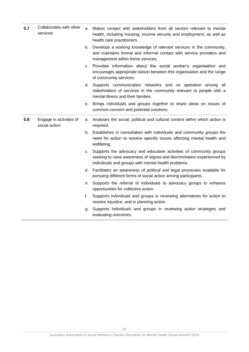| 5.7 | Collaborates with other<br>services      | a. | Makes contact with stakeholders from all sectors relevant to mental<br>health, including housing, income security and employment, as well as<br>health care practitioners.                          |
|-----|------------------------------------------|----|-----------------------------------------------------------------------------------------------------------------------------------------------------------------------------------------------------|
|     |                                          |    | b. Develops a working knowledge of relevant services in the community,<br>and maintains formal and informal contact with service providers and<br>management within these services.                 |
|     |                                          | C. | Provides information about the social worker's organisation and<br>encourages appropriate liaison between this organisation and the range<br>of community services.                                 |
|     |                                          |    | d. Supports communication networks and co operation among all<br>stakeholders of services in the community relevant to people with a<br>mental illness and their families.                          |
|     |                                          |    | e. Brings individuals and groups together to share ideas on issues of<br>common concern and potential solutions.                                                                                    |
| 5.8 | Engage in activities of<br>social action |    | a. Analyses the social, political and cultural context within which action is<br>required.                                                                                                          |
|     |                                          |    | b. Establishes in consultation with individuals and community groups the<br>need for action to resolve specific issues affecting mental health and<br>wellbeing.                                    |
|     |                                          | C. | Supports the advocacy and education activities of community groups<br>seeking to raise awareness of stigma and discrimination experienced by<br>individuals and groups with mental health problems. |
|     |                                          |    | d. Facilitates an awareness of political and legal processes available for<br>pursuing different forms of social action among participants.                                                         |
|     |                                          | е. | Supports the referral of individuals to advocacy groups to enhance<br>opportunities for collective action.                                                                                          |
|     |                                          | f. | Supports individuals and groups in reviewing alternatives for action to<br>resolve injustice, and in planning action.                                                                               |
|     |                                          | g. | Supports individuals and groups in reviewing action strategies and<br>evaluating outcomes.                                                                                                          |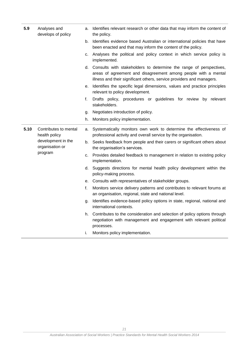| 5.9  | Analyses and<br>develops of policy                                                         | а. | Identifies relevant research or other data that may inform the content of<br>the policy.                                                                                                                         |
|------|--------------------------------------------------------------------------------------------|----|------------------------------------------------------------------------------------------------------------------------------------------------------------------------------------------------------------------|
|      |                                                                                            | b. | Identifies evidence based Australian or international policies that have<br>been enacted and that may inform the content of the policy.                                                                          |
|      |                                                                                            | C. | Analyses the political and policy context in which service policy is<br>implemented.                                                                                                                             |
|      |                                                                                            |    | d. Consults with stakeholders to determine the range of perspectives,<br>areas of agreement and disagreement among people with a mental<br>illness and their significant others, service providers and managers. |
|      |                                                                                            | е. | Identifies the specific legal dimensions, values and practice principles<br>relevant to policy development.                                                                                                      |
|      |                                                                                            | f. | Drafts policy, procedures or guidelines for review by relevant<br>stakeholders.                                                                                                                                  |
|      |                                                                                            | g. | Negotiates introduction of policy.                                                                                                                                                                               |
|      |                                                                                            | h. | Monitors policy implementation.                                                                                                                                                                                  |
| 5.10 | Contributes to mental<br>health policy<br>development in the<br>organisation or<br>program | a. | Systematically monitors own work to determine the effectiveness of<br>professional activity and overall service by the organisation.                                                                             |
|      |                                                                                            | b. | Seeks feedback from people and their carers or significant others about<br>the organisation's services.                                                                                                          |
|      |                                                                                            | C. | Provides detailed feedback to management in relation to existing policy<br>implementation.                                                                                                                       |
|      |                                                                                            | d. | Suggests directions for mental health policy development within the<br>policy-making process.                                                                                                                    |
|      |                                                                                            |    | e. Consults with representatives of stakeholder groups.                                                                                                                                                          |
|      |                                                                                            | f. | Monitors service delivery patterns and contributes to relevant forums at<br>an organisation, regional, state and national level.                                                                                 |
|      |                                                                                            | g. | Identifies evidence-based policy options in state, regional, national and<br>international contexts.                                                                                                             |
|      |                                                                                            | h. | Contributes to the consideration and selection of policy options through<br>negotiation with management and engagement with relevant political<br>processes.                                                     |
|      |                                                                                            | i. | Monitors policy implementation.                                                                                                                                                                                  |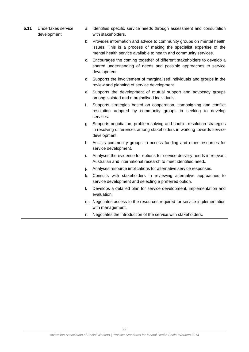- **5.11** Undertakes service development
- a. Identifies specific service needs through assessment and consultation with stakeholders.
- b. Provides information and advice to community groups on mental health issues. This is a process of making the specialist expertise of the mental health service available to health and community services.
- c. Encourages the coming together of different stakeholders to develop a shared understanding of needs and possible approaches to service development.
- d. Supports the involvement of marginalised individuals and groups in the review and planning of service development.
- e. Supports the development of mutual support and advocacy groups among isolated and marginalised individuals.
- f. Supports strategies based on cooperation, campaigning and conflict resolution adopted by community groups in seeking to develop services.
- g. Supports negotiation, problem-solving and conflict-resolution strategies in resolving differences among stakeholders in working towards service development.
- h. Assists community groups to access funding and other resources for service development.
- i. Analyses the evidence for options for service delivery needs in relevant Australian and international research to meet identified need..
- j. Analyses resource implications for alternative service responses.
- k. Consults with stakeholders in reviewing alternative approaches to service development and selecting a preferred option.
- l. Develops a detailed plan for service development, implementation and evaluation.
- m. Negotiates access to the resources required for service implementation with management.
- n. Negotiates the introduction of the service with stakeholders.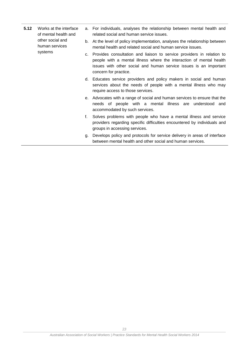- **5.12** Works at the interface of mental health and other social and human services systems
- a. For individuals, analyses the relationship between mental health and related social and human service issues.
- b. At the level of policy implementation, analyses the relationship between mental health and related social and human service issues.
- c. Provides consultation and liaison to service providers in relation to people with a mental illness where the interaction of mental health issues with other social and human service issues is an important concern for practice.
- d. Educates service providers and policy makers in social and human services about the needs of people with a mental illness who may require access to those services.
- e. Advocates with a range of social and human services to ensure that the needs of people with a mental illness are understood and accommodated by such services.
- f. Solves problems with people who have a mental illness and service providers regarding specific difficulties encountered by individuals and groups in accessing services.
- g. Develops policy and protocols for service delivery in areas of interface between mental health and other social and human services.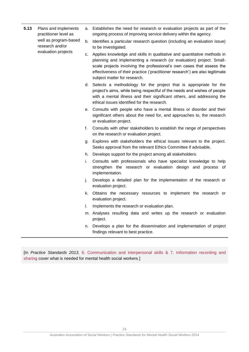| 5.13 | Plans and implements<br>practitioner level as<br>well as program-based<br>research and/or<br>evaluation projects | а. | Establishes the need for research or evaluation projects as part of the<br>ongoing process of improving service delivery within the agency.                                                                                                                                                                                               |
|------|------------------------------------------------------------------------------------------------------------------|----|-------------------------------------------------------------------------------------------------------------------------------------------------------------------------------------------------------------------------------------------------------------------------------------------------------------------------------------------|
|      |                                                                                                                  | b. | Identifies a particular research question (including an evaluation issue)<br>to be investigated.                                                                                                                                                                                                                                          |
|      |                                                                                                                  | c. | Applies knowledge and skills in qualitative and quantitative methods in<br>planning and implementing a research (or evaluation) project. Small-<br>scale projects involving the professional's own cases that assess the<br>effectiveness of their practice ('practitioner research') are also legitimate<br>subject matter for research. |
|      |                                                                                                                  |    | d. Selects a methodology for the project that is appropriate for the<br>project's aims, while being respectful of the needs and wishes of people<br>with a mental illness and their significant others, and addressing the<br>ethical issues identified for the research.                                                                 |
|      |                                                                                                                  |    | e. Consults with people who have a mental illness or disorder and their<br>significant others about the need for, and approaches to, the research<br>or evaluation project.                                                                                                                                                               |
|      |                                                                                                                  | f. | Consults with other stakeholders to establish the range of perspectives<br>on the research or evaluation project.                                                                                                                                                                                                                         |
|      |                                                                                                                  | q. | Explores with stakeholders the ethical issues relevant to the project.<br>Seeks approval from the relevant Ethics Committee if advisable.                                                                                                                                                                                                 |
|      |                                                                                                                  |    | h. Develops support for the project among all stakeholders.                                                                                                                                                                                                                                                                               |
|      |                                                                                                                  | i. | Consults with professionals who have specialist knowledge to help<br>strengthen the research or evaluation design and process of<br>implementation.                                                                                                                                                                                       |
|      |                                                                                                                  | j. | Develops a detailed plan for the implementation of the research or<br>evaluation project.                                                                                                                                                                                                                                                 |
|      |                                                                                                                  | k. | Obtains the necessary resources to implement the research or<br>evaluation project.                                                                                                                                                                                                                                                       |
|      |                                                                                                                  | L. | Implements the research or evaluation plan.                                                                                                                                                                                                                                                                                               |
|      |                                                                                                                  |    | m. Analyses resulting data and writes up the research or evaluation<br>project.                                                                                                                                                                                                                                                           |
|      |                                                                                                                  | n. | Develops a plan for the dissemination and implementation of project<br>findings relevant to best practice.                                                                                                                                                                                                                                |

[In *Practice Standards 2013*, 6. Communication and interpersonal skills & 7. Information recording and sharing cover what is needed for mental health social workers.]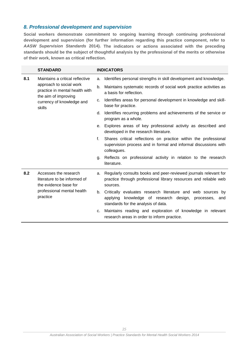## *8. Professional development and supervision*

**Social workers demonstrate commitment to ongoing learning through continuing professional development and supervision (for further information regarding this practice component, refer to**  *AASW Supervision Standards* **2014). The indicators or actions associated with the preceding standards should be the subject of thoughtful analysis by the professional of the merits or otherwise of their work, known as critical reflection.**

|     | <b>STANDARD</b>                                                                                                                                             |    | <b>INDICATORS</b>                                                                                                                                           |
|-----|-------------------------------------------------------------------------------------------------------------------------------------------------------------|----|-------------------------------------------------------------------------------------------------------------------------------------------------------------|
| 8.1 | Maintains a critical reflective<br>approach to social work<br>practice in mental health with<br>the aim of improving<br>currency of knowledge and<br>skills | a. | Identifies personal strengths in skill development and knowledge.                                                                                           |
|     |                                                                                                                                                             | b. | Maintains systematic records of social work practice activities as<br>a basis for reflection.                                                               |
|     |                                                                                                                                                             | c. | Identifies areas for personal development in knowledge and skill-<br>base for practice.                                                                     |
|     |                                                                                                                                                             | d. | Identifies recurring problems and achievements of the service or<br>program as a whole.                                                                     |
|     |                                                                                                                                                             | е. | Explores areas of key professional activity as described and<br>developed in the research literature.                                                       |
|     |                                                                                                                                                             | f. | Shares critical reflections on practice within the professional<br>supervision process and in formal and informal discussions with<br>colleagues.           |
|     |                                                                                                                                                             | g. | Reflects on professional activity in relation to the research<br>literature.                                                                                |
| 8.2 | Accesses the research<br>literature to be informed of<br>the evidence base for<br>professional mental health<br>practice                                    | a. | Regularly consults books and peer-reviewed journals relevant for<br>practice through professional library resources and reliable web<br>sources.            |
|     |                                                                                                                                                             | b. | Critically evaluates research literature and web sources by<br>applying knowledge of research design, processes, and<br>standards for the analysis of data. |
|     |                                                                                                                                                             | c. | Maintains reading and exploration of knowledge in relevant<br>research areas in order to inform practice.                                                   |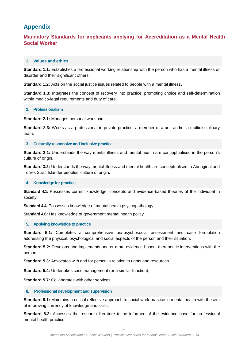## <span id="page-26-0"></span>**Appendix**

## **Mandatory Standards for applicants applying for Accreditation as a Mental Health Social Worker**

### **1. Values and ethics**

**Standard 1.1:** Establishes a professional working relationship with the person who has a mental illness or disorder and their significant others.

**Standard 1.2:** Acts on the social justice issues related to people with a mental illness.

**Standard 1.3:** Integrates the concept of recovery into practice, promoting choice and self-determination within medico-legal requirements and duty of care.

#### **2. Professionalism**

**Standard 2.1:** Manages personal workload.

**Standard 2.3:** Works as a professional in private practice, a member of a unit and/or a multidisciplinary team.

#### **3. Culturally responsive and inclusive practice**

**Standard 3.1:** Understands the way mental illness and mental health are conceptualised in the person's culture of origin.

**Standard 3.2:** Understands the way mental illness and mental health are conceptualised in Aboriginal and Torres Strait Islander peoples' culture of origin**.**

#### **4. Knowledge for practice**

**Standard 4.1:** Possesses current knowledge, concepts and evidence-based theories of the individual in society.

**Standard 4.4:** Possesses knowledge of mental health psychopathology.

**Standard 4.6:** Has knowledge of government mental health policy.

#### **5. Applying knowledge to practice**

**Standard 5.1:** Completes a comprehensive bio-psychosocial assessment and case formulation addressing the physical, psychological and social aspects of the person and their situation.

**Standard 5.2:** Develops and implements one or more evidence-based, therapeutic interventions with the person.

**Standard 5.3:** Advocates with and for person in relation to rights and resources.

**Standard 5.4:** Undertakes case management (or a similar function).

**Standard 5.7: Collaborates with other services.** 

#### **8. Professional development and supervision**

**Standard 8.1:** Maintains a critical reflective approach to social work practice in mental health with the aim of improving currency of knowledge and skills.

**Standard 8.2:** Accesses the research literature to be informed of the evidence base for professional mental health practice.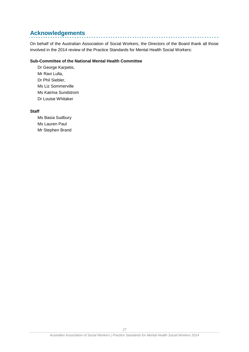## <span id="page-27-0"></span>**Acknowledgements**

On behalf of the Australian Association of Social Workers, the Directors of the Board thank all those involved in the 2014 review of the Practice Standards for Mental Health Social Workers:

\_\_\_\_\_\_\_\_\_\_\_\_\_\_\_\_\_\_\_\_\_\_\_\_\_\_\_\_\_\_\_\_\_

#### **Sub-Committee of the National Mental Health Committee**

Dr George Karpetis, Mr Ravi Lulla, Dr Phil Siebler, Ms Liz Sommerville Ms Katrina Sundstrom Dr Louise Whitaker

#### **Staff**

Ms Basia Sudbury Ms Lauren Paul Mr Stephen Brand